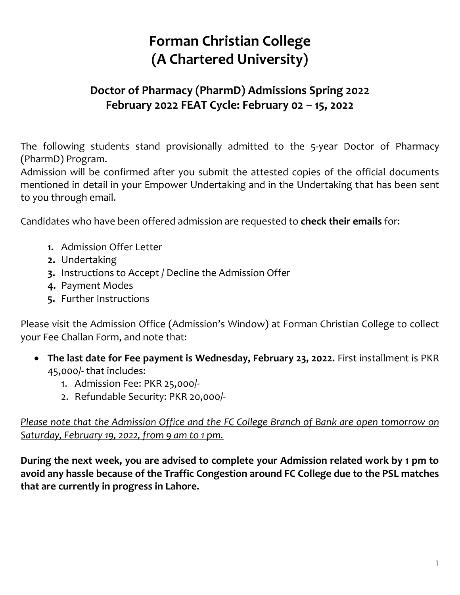## **Forman Christian College (A Chartered University)**

## **Doctor of Pharmacy (PharmD) Admissions Spring 2022 February 2022 FEAT Cycle: February 02 – 15, 2022**

The following students stand provisionally admitted to the 5-year Doctor of Pharmacy (PharmD) Program.

Admission will be confirmed after you submit the attested copies of the official documents mentioned in detail in your Empower Undertaking and in the Undertaking that has been sent to you through email.

Candidates who have been offered admission are requested to **check their emails** for:

- **1.** Admission Offer Letter
- **2.** Undertaking
- **3.** Instructions to Accept / Decline the Admission Offer
- **4.** Payment Modes
- **5.** Further Instructions

Please visit the Admission Office (Admission's Window) at Forman Christian College to collect your Fee Challan Form, and note that:

- **The last date for Fee payment is Wednesday, February 23, 2022.** First installment is PKR 45,000/- that includes:
	- 1. Admission Fee: PKR 25,000/-
	- 2. Refundable Security: PKR 20,000/-

*Please note that the Admission Office and the FC College Branch of Bank are open tomorrow on Saturday, February 19, 2022, from 9 am to 1 pm.*

**During the next week, you are advised to complete your Admission related work by 1 pm to avoid any hassle because of the Traffic Congestion around FC College due to the PSL matches that are currently in progress in Lahore.**